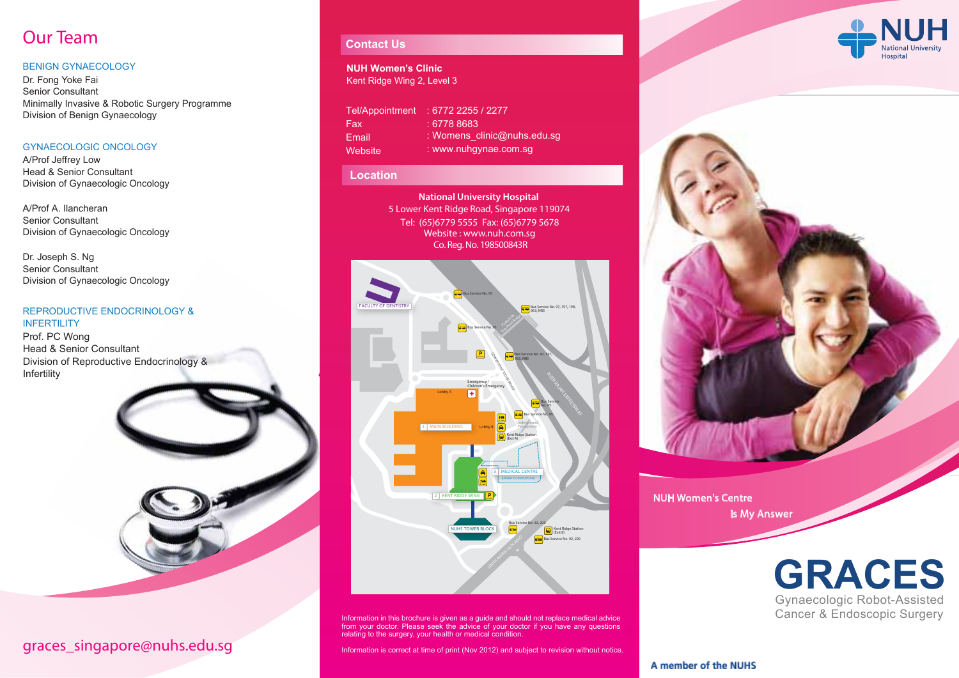# Our Team

### BENIGN GYNAECOLOGY

Dr. Fong Yoke Fai Senior Consultant Minimally Invasive & Robotic Surgery Programme Division of Benign Gynaecology

### GYNAECOLOGIC ONCOLOGY

A/Prof Jeffrey Low Head & Senior Consultant Division of Gynaecologic Oncology

A/Prof A. Ilancheran Senior Consultant Division of Gynaecologic Oncology

Dr. Joseph S. Ng Senior Consultant Division of Gynaecologic Oncology

### REPRODUCTIVE ENDOCRINOLOGY & **INFERTILITY**

Prof. PC Wong Head & Senior Consultant Division of Reproductive Endocrinology & Infertility



## graces\_singapore@nuhs.edu.sg

### **Contact Us**

#### **NUH Women's Clinic** Kent Ridge Wing 2, Level 3

| Tel/Appointment | $: 6772$ 2255 / 2277        |
|-----------------|-----------------------------|
| Fax             | : 6778 8683                 |
| Email           | : Womens clinic@nuhs.edu.sg |
| Website         | : www.nuhqynae.com.sq       |

### **Location**

Co. Reg. No. 198500843R **National University Hospital**  5 Lower Kent Ridge Road, Singapore 119074 Website : www.nuh.com.sg Tel: (65)6779 5555 Fax: (65)6779 5678



Information in this brochure is given as a guide and should not replace medical advice from your doctor. Please seek the advice of your doctor if you have any questions relating to the surgery, your health or medical condition.

Information is correct at time of print (Nov 2012) and subject to revision without notice.





NUH Women's Centre Is My Answer



A member of the NUHS